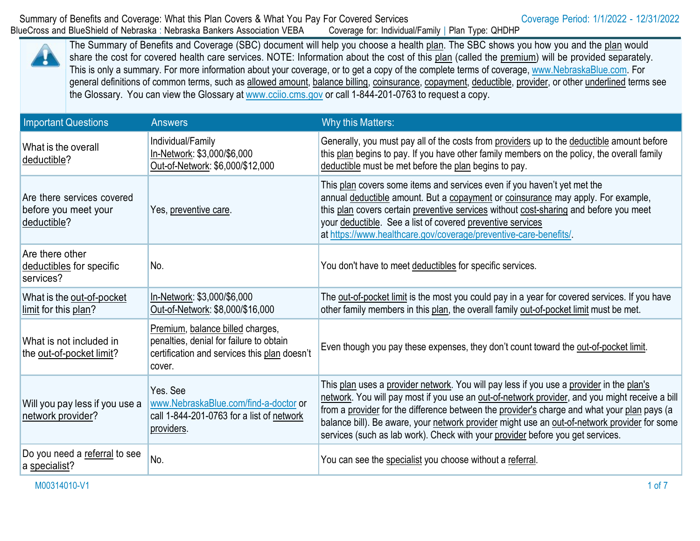The Summary of Benefits and Coverage (SBC) document will help you choose a health plan. The SBC shows you how you and the plan would share the cost for covered health care services. NOTE: Information about the cost of this plan (called the premium) will be provided separately. This is only a summary. For more information about your coverage, or to get a copy of the complete terms of coverage, [www.NebraskaBlue.com.](http://www.nebraskablue.com/) For general definitions of common terms, such as allowed amount, balance billing, coinsurance, copayment, deductible, provider, or other underlined terms see the Glossary. You can view the Glossary at [www.cciio.cms.gov](http://www.cciio.cms.gov/) or call 1-844-201-0763 to request a copy.

| <b>Important Questions</b>                                        | <b>Answers</b>                                                                                                                        | Why this Matters:                                                                                                                                                                                                                                                                                                                                                                                                                                                           |
|-------------------------------------------------------------------|---------------------------------------------------------------------------------------------------------------------------------------|-----------------------------------------------------------------------------------------------------------------------------------------------------------------------------------------------------------------------------------------------------------------------------------------------------------------------------------------------------------------------------------------------------------------------------------------------------------------------------|
| What is the overall<br>deductible?                                | Individual/Family<br>In-Network: \$3,000/\$6,000<br>Out-of-Network: \$6,000/\$12,000                                                  | Generally, you must pay all of the costs from providers up to the deductible amount before<br>this plan begins to pay. If you have other family members on the policy, the overall family<br>deductible must be met before the plan begins to pay.                                                                                                                                                                                                                          |
| Are there services covered<br>before you meet your<br>deductible? | Yes, preventive care.                                                                                                                 | This plan covers some items and services even if you haven't yet met the<br>annual deductible amount. But a copayment or coinsurance may apply. For example,<br>this plan covers certain preventive services without cost-sharing and before you meet<br>your deductible. See a list of covered preventive services<br>at https://www.healthcare.gov/coverage/preventive-care-benefits/.                                                                                    |
| Are there other<br>deductibles for specific<br>services?          | No.                                                                                                                                   | You don't have to meet deductibles for specific services.                                                                                                                                                                                                                                                                                                                                                                                                                   |
| What is the out-of-pocket<br>limit for this plan?                 | In-Network: \$3,000/\$6,000<br>Out-of-Network: \$8,000/\$16,000                                                                       | The out-of-pocket limit is the most you could pay in a year for covered services. If you have<br>other family members in this plan, the overall family out-of-pocket limit must be met.                                                                                                                                                                                                                                                                                     |
| What is not included in<br>the out-of-pocket limit?               | Premium, balance billed charges,<br>penalties, denial for failure to obtain<br>certification and services this plan doesn't<br>cover. | Even though you pay these expenses, they don't count toward the out-of-pocket limit.                                                                                                                                                                                                                                                                                                                                                                                        |
| Will you pay less if you use a<br>network provider?               | Yes, See<br>www.NebraskaBlue.com/find-a-doctor or<br>call 1-844-201-0763 for a list of network<br>providers.                          | This plan uses a provider network. You will pay less if you use a provider in the plan's<br>network. You will pay most if you use an out-of-network provider, and you might receive a bill<br>from a provider for the difference between the provider's charge and what your plan pays (a<br>balance bill). Be aware, your network provider might use an out-of-network provider for some<br>services (such as lab work). Check with your provider before you get services. |
| Do you need a referral to see<br>a specialist?                    | No.                                                                                                                                   | You can see the specialist you choose without a referral.                                                                                                                                                                                                                                                                                                                                                                                                                   |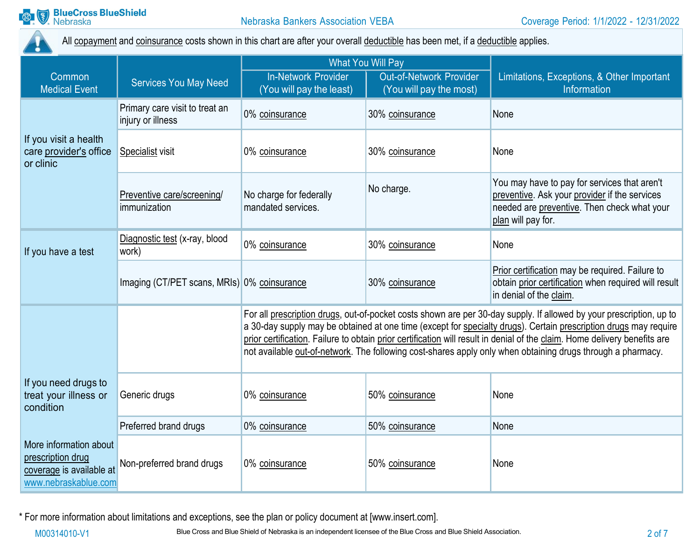

All copayment and coinsurance costs shown in this chart are after your overall deductible has been met, if a deductible applies.

|                                                                                                 |                                                     | <b>What You Will Pay</b>                                                                                                                                                                                                                                                                                                                                                                                                                                                            |                                                           |                                                                                                                                                                    |
|-------------------------------------------------------------------------------------------------|-----------------------------------------------------|-------------------------------------------------------------------------------------------------------------------------------------------------------------------------------------------------------------------------------------------------------------------------------------------------------------------------------------------------------------------------------------------------------------------------------------------------------------------------------------|-----------------------------------------------------------|--------------------------------------------------------------------------------------------------------------------------------------------------------------------|
| Common<br><b>Medical Event</b>                                                                  | <b>Services You May Need</b>                        | In-Network Provider<br>(You will pay the least)                                                                                                                                                                                                                                                                                                                                                                                                                                     | <b>Out-of-Network Provider</b><br>(You will pay the most) | Limitations, Exceptions, & Other Important<br><b>Information</b>                                                                                                   |
|                                                                                                 | Primary care visit to treat an<br>injury or illness | 0% coinsurance                                                                                                                                                                                                                                                                                                                                                                                                                                                                      | 30% coinsurance                                           | None                                                                                                                                                               |
| If you visit a health<br>care provider's office<br>or clinic                                    | Specialist visit                                    | 0% coinsurance                                                                                                                                                                                                                                                                                                                                                                                                                                                                      | 30% coinsurance                                           | None                                                                                                                                                               |
|                                                                                                 | Preventive care/screening/<br>immunization          | No charge for federally<br>mandated services.                                                                                                                                                                                                                                                                                                                                                                                                                                       | No charge.                                                | You may have to pay for services that aren't<br>preventive. Ask your provider if the services<br>needed are preventive. Then check what your<br>plan will pay for. |
| If you have a test                                                                              | Diagnostic test (x-ray, blood<br>work)              | 0% coinsurance                                                                                                                                                                                                                                                                                                                                                                                                                                                                      | 30% coinsurance                                           | None                                                                                                                                                               |
|                                                                                                 | Imaging (CT/PET scans, MRIs) 0% coinsurance         |                                                                                                                                                                                                                                                                                                                                                                                                                                                                                     | 30% coinsurance                                           | Prior certification may be required. Failure to<br>obtain prior certification when required will result<br>in denial of the claim.                                 |
|                                                                                                 |                                                     | For all prescription drugs, out-of-pocket costs shown are per 30-day supply. If allowed by your prescription, up to<br>a 30-day supply may be obtained at one time (except for specialty drugs). Certain prescription drugs may require<br>prior certification. Failure to obtain prior certification will result in denial of the claim. Home delivery benefits are<br>not available out-of-network. The following cost-shares apply only when obtaining drugs through a pharmacy. |                                                           |                                                                                                                                                                    |
| If you need drugs to<br>treat your illness or<br>condition                                      | Generic drugs                                       | 0% coinsurance                                                                                                                                                                                                                                                                                                                                                                                                                                                                      | 50% coinsurance                                           | None                                                                                                                                                               |
|                                                                                                 | Preferred brand drugs                               | 0% coinsurance                                                                                                                                                                                                                                                                                                                                                                                                                                                                      | 50% coinsurance                                           | None                                                                                                                                                               |
| More information about<br>prescription drug<br>coverage is available at<br>www.nebraskablue.com | Non-preferred brand drugs                           | 0% coinsurance                                                                                                                                                                                                                                                                                                                                                                                                                                                                      | 50% coinsurance                                           | None                                                                                                                                                               |

\* For more information about limitations and exceptions, see the plan or policy document at [\[www.insert.com\]](http://www.insert.com/).

M00314010-V1 Blue Cross and Blue Shield of Nebraska is an independent licensee of the Blue Cross and Blue Shield Association.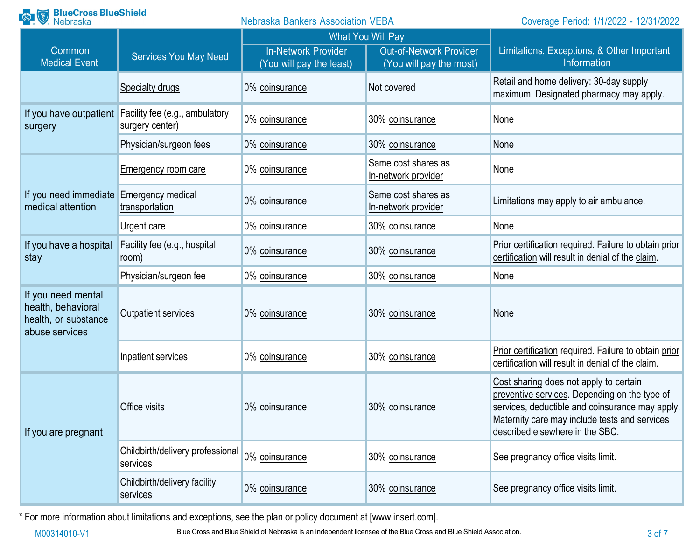| <b>BlueCross BlueShield</b><br>Nebraska<br><b>Nebraska Bankers Association VEBA</b> |                                                   |                                                        | Coverage Period: 1/1/2022 - 12/31/2022                                         |                                                                                                                                                                                                                                |
|-------------------------------------------------------------------------------------|---------------------------------------------------|--------------------------------------------------------|--------------------------------------------------------------------------------|--------------------------------------------------------------------------------------------------------------------------------------------------------------------------------------------------------------------------------|
| Common<br><b>Medical Event</b>                                                      | <b>Services You May Need</b>                      | <b>In-Network Provider</b><br>(You will pay the least) | <b>What You Will Pay</b><br>Out-of-Network Provider<br>(You will pay the most) | Limitations, Exceptions, & Other Important<br>Information                                                                                                                                                                      |
|                                                                                     | <b>Specialty drugs</b>                            | 0% coinsurance                                         | Not covered                                                                    | Retail and home delivery: 30-day supply<br>maximum. Designated pharmacy may apply.                                                                                                                                             |
| If you have outpatient<br>surgery                                                   | Facility fee (e.g., ambulatory<br>surgery center) | 0% coinsurance                                         | 30% coinsurance                                                                | None                                                                                                                                                                                                                           |
|                                                                                     | Physician/surgeon fees                            | 0% coinsurance                                         | 30% coinsurance                                                                | None                                                                                                                                                                                                                           |
|                                                                                     | <b>Emergency room care</b>                        | 0% coinsurance                                         | Same cost shares as<br>In-network provider                                     | None                                                                                                                                                                                                                           |
| If you need immediate Emergency medical<br>medical attention                        | transportation                                    | 0% coinsurance                                         | Same cost shares as<br>In-network provider                                     | Limitations may apply to air ambulance.                                                                                                                                                                                        |
|                                                                                     | Urgent care                                       | 0% coinsurance                                         | 30% coinsurance                                                                | None                                                                                                                                                                                                                           |
| If you have a hospital<br>stay                                                      | Facility fee (e.g., hospital<br>room)             | 0% coinsurance                                         | 30% coinsurance                                                                | Prior certification required. Failure to obtain prior<br>certification will result in denial of the claim.                                                                                                                     |
|                                                                                     | Physician/surgeon fee                             | 0% coinsurance                                         | 30% coinsurance                                                                | None                                                                                                                                                                                                                           |
| If you need mental<br>health, behavioral<br>health, or substance<br>abuse services  | <b>Outpatient services</b>                        | 0% coinsurance                                         | 30% coinsurance                                                                | None                                                                                                                                                                                                                           |
|                                                                                     | Inpatient services                                | 0% coinsurance                                         | 30% coinsurance                                                                | Prior certification required. Failure to obtain prior<br>certification will result in denial of the claim.                                                                                                                     |
| If you are pregnant                                                                 | Office visits                                     | 0% coinsurance                                         | 30% coinsurance                                                                | Cost sharing does not apply to certain<br>preventive services. Depending on the type of<br>services, deductible and coinsurance may apply.<br>Maternity care may include tests and services<br>described elsewhere in the SBC. |
|                                                                                     | Childbirth/delivery professional<br>services      | 0% coinsurance                                         | 30% coinsurance                                                                | See pregnancy office visits limit.                                                                                                                                                                                             |
|                                                                                     | Childbirth/delivery facility<br>services          | 0% coinsurance                                         | 30% coinsurance                                                                | See pregnancy office visits limit.                                                                                                                                                                                             |

\* For more information about limitations and exceptions, see the plan or policy document at [\[www.insert.com\]](http://www.insert.com/).

M00314010-V1 Blue Cross and Blue Shield of Nebraska is an independent licensee of the Blue Cross and Blue Shield Association.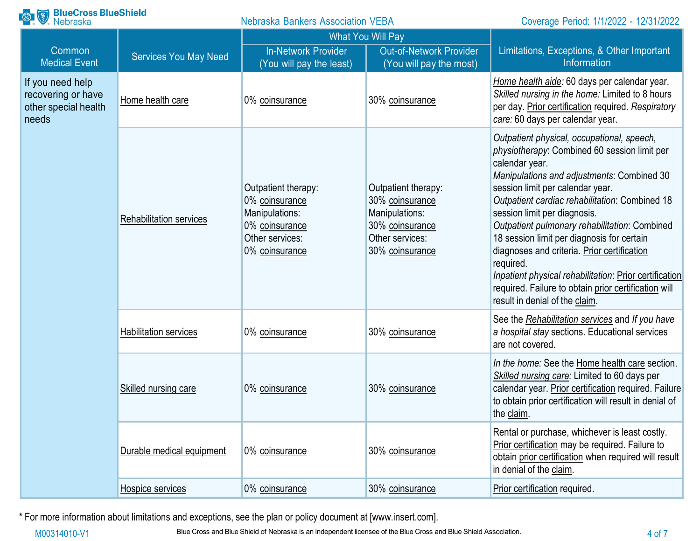| <b>BlueCross BlueShield</b><br>Nebraska                                 |                                | <b>Nebraska Bankers Association VEBA</b>                                                                       |                                                                                                                   | Coverage Period: 1/1/2022 - 12/31/2022                                                                                                                                                                                                                                                                                                                                                                                                                                                                                                                                                          |
|-------------------------------------------------------------------------|--------------------------------|----------------------------------------------------------------------------------------------------------------|-------------------------------------------------------------------------------------------------------------------|-------------------------------------------------------------------------------------------------------------------------------------------------------------------------------------------------------------------------------------------------------------------------------------------------------------------------------------------------------------------------------------------------------------------------------------------------------------------------------------------------------------------------------------------------------------------------------------------------|
| Common<br><b>Medical Event</b>                                          | <b>Services You May Need</b>   | <b>In-Network Provider</b><br>(You will pay the least)                                                         | <b>What You Will Pay</b><br><b>Out-of-Network Provider</b><br>(You will pay the most)                             | Limitations, Exceptions, & Other Important<br><b>Information</b>                                                                                                                                                                                                                                                                                                                                                                                                                                                                                                                                |
| If you need help<br>recovering or have<br>other special health<br>needs | Home health care               | 0% coinsurance                                                                                                 | 30% coinsurance                                                                                                   | Home health aide: 60 days per calendar year.<br>Skilled nursing in the home: Limited to 8 hours<br>per day. Prior certification required. Respiratory<br>care: 60 days per calendar year.                                                                                                                                                                                                                                                                                                                                                                                                       |
|                                                                         | <b>Rehabilitation services</b> | Outpatient therapy:<br>0% coinsurance<br>Manipulations:<br>0% coinsurance<br>Other services:<br>0% coinsurance | Outpatient therapy:<br>30% coinsurance<br>Manipulations:<br>30% coinsurance<br>Other services:<br>30% coinsurance | Outpatient physical, occupational, speech,<br>physiotherapy: Combined 60 session limit per<br>calendar year.<br>Manipulations and adjustments: Combined 30<br>session limit per calendar year.<br>Outpatient cardiac rehabilitation: Combined 18<br>session limit per diagnosis.<br>Outpatient pulmonary rehabilitation: Combined<br>18 session limit per diagnosis for certain<br>diagnoses and criteria. Prior certification<br>required.<br>Inpatient physical rehabilitation: Prior certification<br>required. Failure to obtain prior certification will<br>result in denial of the claim. |
|                                                                         | <b>Habilitation services</b>   | 0% coinsurance                                                                                                 | 30% coinsurance                                                                                                   | See the Rehabilitation services and If you have<br>a hospital stay sections. Educational services<br>are not covered.                                                                                                                                                                                                                                                                                                                                                                                                                                                                           |
|                                                                         | Skilled nursing care           | 0% coinsurance                                                                                                 | 30% coinsurance                                                                                                   | In the home: See the Home health care section.<br>Skilled nursing care: Limited to 60 days per<br>calendar year. Prior certification required. Failure<br>to obtain prior certification will result in denial of<br>the claim.                                                                                                                                                                                                                                                                                                                                                                  |
|                                                                         | Durable medical equipment      | 0% coinsurance                                                                                                 | 30% coinsurance                                                                                                   | Rental or purchase, whichever is least costly.<br>Prior certification may be required. Failure to<br>obtain prior certification when required will result<br>in denial of the claim.                                                                                                                                                                                                                                                                                                                                                                                                            |
|                                                                         | Hospice services               | 0% coinsurance                                                                                                 | 30% coinsurance                                                                                                   | Prior certification required.                                                                                                                                                                                                                                                                                                                                                                                                                                                                                                                                                                   |

\* For more information about limitations and exceptions, see the plan or policy document at [\[www.insert.com\]](http://www.insert.com/).

M00314010-V1 Blue Cross and Blue Shield of Nebraska is an independent licensee of the Blue Cross and Blue Shield Association.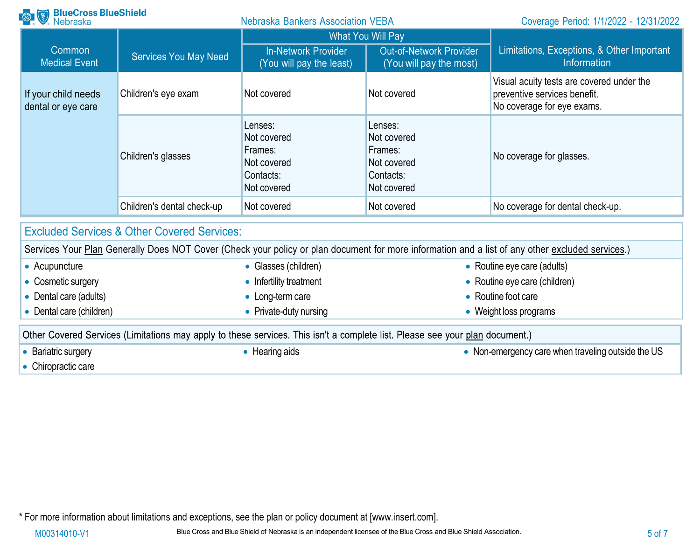| <b>Research BlueCross BlueShield</b>                                                                                         |                                                        | <b>Nebraska Bankers Association VEBA</b>                                     |                                                                              | Coverage Period: 1/1/2022 - 12/31/2022                                                                                                           |  |
|------------------------------------------------------------------------------------------------------------------------------|--------------------------------------------------------|------------------------------------------------------------------------------|------------------------------------------------------------------------------|--------------------------------------------------------------------------------------------------------------------------------------------------|--|
|                                                                                                                              |                                                        | <b>What You Will Pay</b>                                                     |                                                                              |                                                                                                                                                  |  |
| Common<br><b>Medical Event</b>                                                                                               | <b>Services You May Need</b>                           | <b>In-Network Provider</b><br>(You will pay the least)                       | <b>Out-of-Network Provider</b><br>(You will pay the most)                    | Limitations, Exceptions, & Other Important<br>Information                                                                                        |  |
| If your child needs<br>dental or eye care                                                                                    | Children's eye exam                                    | Not covered                                                                  | Not covered                                                                  | Visual acuity tests are covered under the<br>preventive services benefit.<br>No coverage for eye exams.                                          |  |
|                                                                                                                              | Children's glasses                                     | Lenses:<br>Not covered<br>Frames:<br>Not covered<br>Contacts:<br>Not covered | Lenses:<br>Not covered<br>Frames:<br>Not covered<br>Contacts:<br>Not covered | No coverage for glasses.                                                                                                                         |  |
|                                                                                                                              | Children's dental check-up                             | Not covered                                                                  | Not covered                                                                  | No coverage for dental check-up.                                                                                                                 |  |
|                                                                                                                              | <b>Excluded Services &amp; Other Covered Services:</b> |                                                                              |                                                                              |                                                                                                                                                  |  |
|                                                                                                                              |                                                        |                                                                              |                                                                              | Services Your Plan Generally Does NOT Cover (Check your policy or plan document for more information and a list of any other excluded services.) |  |
| • Acupuncture                                                                                                                |                                                        | • Glasses (children)                                                         |                                                                              | • Routine eye care (adults)                                                                                                                      |  |
| • Cosmetic surgery                                                                                                           |                                                        | • Routine eye care (children)<br>• Infertility treatment                     |                                                                              |                                                                                                                                                  |  |
| • Dental care (adults)                                                                                                       |                                                        | • Long-term care                                                             |                                                                              | • Routine foot care                                                                                                                              |  |
| • Dental care (children)                                                                                                     |                                                        | • Private-duty nursing                                                       |                                                                              | • Weight loss programs                                                                                                                           |  |
| Other Covered Services (Limitations may apply to these services. This isn't a complete list. Please see your plan document.) |                                                        |                                                                              |                                                                              |                                                                                                                                                  |  |
| • Bariatric surgery<br>Chiroproptio coro                                                                                     |                                                        | • Hearing aids                                                               |                                                                              | • Non-emergency care when traveling outside the US                                                                                               |  |

• Chiropractic care

\* For more information about limitations and exceptions, see the plan or policy document at [\[www.insert.com\]](http://www.insert.com/).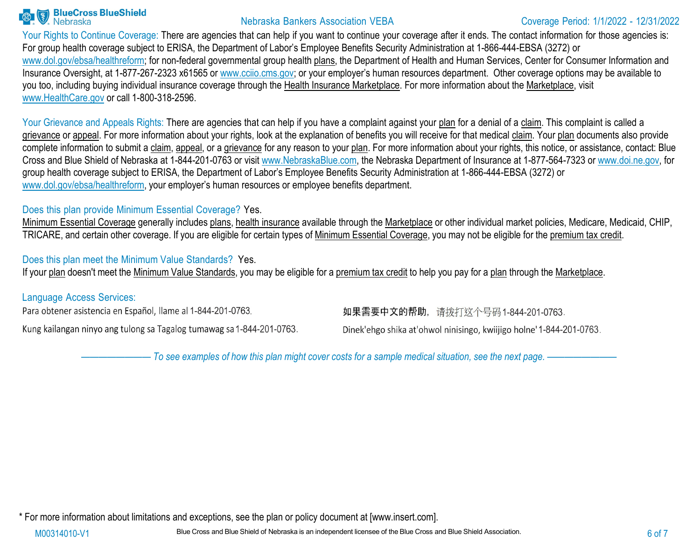

Your Rights to Continue Coverage: There are agencies that can help if you want to continue your coverage after it ends. The contact information for those agencies is: For group health coverage subject to ERISA, the Department of Labor's Employee Benefits Security Administration at 1-866-444-EBSA (3272) or [www.dol.gov/ebsa/healthreform; f](http://www.dol.gov/ebsa/healthreform%3B)or non-federal governmental group health plans, the Department of Health and Human Services, Center for Consumer Information and Insurance Oversight, at 1-877-267-2323 x61565 or www.cciio.cms.gov; or your employer's human resources department. Other coverage options may be available to you too, including buying individual insurance coverage through the Health Insurance Marketplace. For more information about the Marketplace, visit [www.HealthCare.gov](http://www.healthcare.gov/) or call 1-800-318-2596.

Your Grievance and Appeals Rights: There are agencies that can help if you have a complaint against your plan for a denial of a claim. This complaint is called a grievance or appeal. For more information about your rights, look at the explanation of benefits you will receive for that medical claim. Your plan documents also provide complete information to submit a claim, appeal, or a grievance for any reason to your plan. For more information about your rights, this notice, or assistance, contact: Blue Cross and Blue Shield of Nebraska at 1-844-201-0763 or visit [www.NebraskaBlue.com, t](http://www.nebraskablue.com/)he Nebraska Department of Insurance at 1-877-564-7323 or [www.doi.ne.gov, f](http://www.doi.ne.gov/)or group health coverage subject to ERISA, the Department of Labor's Employee Benefits Security Administration at 1-866-444-EBSA (3272) or [www.dol.gov/ebsa/healthreform,](http://www.dol.gov/ebsa/healthreform) your employer's human resources or employee benefits department.

### Does this plan provide Minimum Essential Coverage? Yes.

Minimum Essential Coverage generally includes plans, health insurance available through the Marketplace or other individual market policies, Medicare, Medicaid, CHIP, TRICARE, and certain other coverage. If you are eligible for certain types of Minimum Essential Coverage, you may not be eligible for the premium tax credit.

Does this plan meet the Minimum Value Standards? Yes.

If your plan doesn't meet the Minimum Value Standards, you may be eligible for a premium tax credit to help you pay for a plan through the Marketplace.

### Language Access Services:

Para obtener asistencia en Español, llame al 1-844-201-0763.

Kung kailangan ninyo ang tulong sa Tagalog tumawag sa 1-844-201-0763.

如果需要中文的帮助, 请拨打这个号码1-844-201-0763.

Dinek'ehgo shika at'ohwol ninisingo, kwiijigo holne' 1-844-201-0763.

- To see examples of how this plan might cover costs for a sample medical situation, see the next page. -

\* For more information about limitations and exceptions, see the plan or policy document at [\[www.insert.com\]](http://www.insert.com/).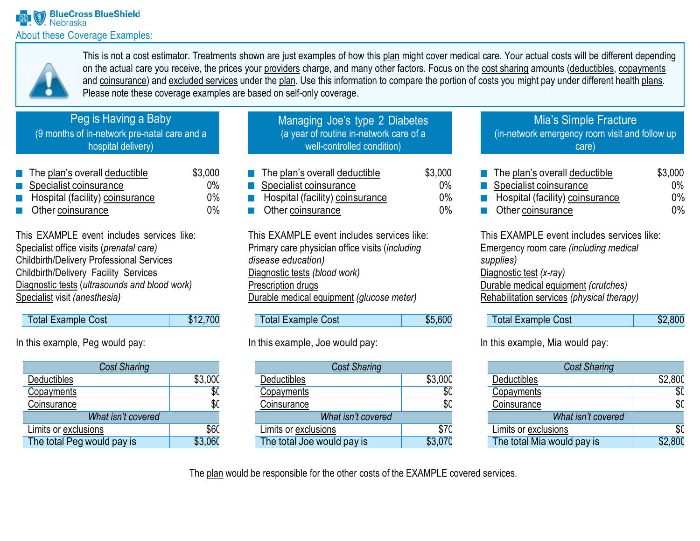

This is not a cost estimator. Treatments shown are just examples of how this plan might cover medical care. Your actual costs will be different depending on the actual care you receive, the prices your providers charge, and many other factors. Focus on the cost sharing amounts (deductibles, copayments and coinsurance) and excluded services under the plan. Use this information to compare the portion of costs you might pay under different health plans. Please note these coverage examples are based on self-only coverage.

# Peg is Having a Baby

(9 months of in-network pre-natal care and a hospital delivery)

| $\blacksquare$ The plan's overall deductible           | \$3,000 |
|--------------------------------------------------------|---------|
| Specialist coinsurance                                 | $0\%$   |
| Hospital (facility) coinsurance<br><b>The Contract</b> | $0\%$   |
| $\blacksquare$ Other coinsurance                       | $0\%$   |

This EXAMPLE event includes services like: Specialist office visits (*prenatal care)* Childbirth/Delivery Professional Services Childbirth/Delivery Facility Services Diagnostic tests (*ultrasounds and blood work)* Specialist visit *(anesthesia)*

| <b>Total Example Cost</b> | \$12,700 |
|---------------------------|----------|
|---------------------------|----------|

In this example, Peg would pay:

| <b>Cost Sharing</b>        |                   |  |
|----------------------------|-------------------|--|
| Deductibles                | \$3,00C           |  |
| Copayments                 | \$(               |  |
| Coinsurance                | $\overline{\$}$ C |  |
| What isn't covered         |                   |  |
| Limits or exclusions       | <b>\$60</b>       |  |
| The total Peg would pay is | .060              |  |

| Managing Joe's type 2 Diabetes          |
|-----------------------------------------|
| (a year of routine in-network care of a |
| well-controlled condition)              |
|                                         |

| $\blacksquare$ The plan's overall deductible | \$3,000 |
|----------------------------------------------|---------|
| Specialist coinsurance                       | $0\%$   |
| Hospital (facility) coinsurance              | $0\%$   |
| <b>Other coinsurance</b>                     | $0\%$   |

This EXAMPLE event includes services like: Primary care physician office visits (*including disease education)* Diagnostic tests *(blood work)* Prescription drugs Durable medical equipment *(glucose meter)*

| <b>Total Example Cost</b> | \$5,600 |
|---------------------------|---------|

## In this example, Joe would pay:

| <b>Cost Sharing</b>        |         |  |  |
|----------------------------|---------|--|--|
| <b>Deductibles</b>         | \$3,000 |  |  |
| Copayments                 |         |  |  |
| Coinsurance                | \$0     |  |  |
| What isn't covered         |         |  |  |
| Limits or exclusions       | \$70    |  |  |
| The total Joe would pay is | \$3,070 |  |  |

### Mia's Simple Fracture (in-network emergency room visit and follow up care)

| $\blacksquare$ The plan's overall deductible | \$3,000 |
|----------------------------------------------|---------|
| Specialist coinsurance                       | $0\%$   |
| Hospital (facility) coinsurance              | $0\%$   |
| <b>C</b> Other coinsurance                   | በ%      |

This EXAMPLE event includes services like: Emergency room care *(including medical supplies)* Diagnostic test *(x-ray)* Durable medical equipment *(crutches)* Rehabilitation services *(physical therapy)*

| Total Example Cost | \$2,800 |
|--------------------|---------|
|--------------------|---------|

In this example, Mia would pay:

| <b>Cost Sharing</b>        |         |
|----------------------------|---------|
| Deductibles                | \$2,800 |
| Copayments                 | \$(     |
| Coinsurance                | \$0     |
| What isn't covered         |         |
| Limits or exclusions       |         |
| The total Mia would pay is | \$2 80C |

The plan would be responsible for the other costs of the EXAMPLE covered services.